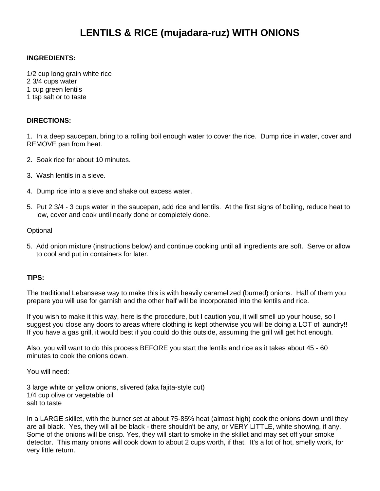# **LENTILS & RICE (mujadara-ruz) WITH ONIONS**

## **INGREDIENTS:**

1/2 cup long grain white rice 2 3/4 cups water 1 cup green lentils 1 tsp salt or to taste

## **DIRECTIONS:**

1. In a deep saucepan, bring to a rolling boil enough water to cover the rice. Dump rice in water, cover and REMOVE pan from heat.

- 2. Soak rice for about 10 minutes.
- 3. Wash lentils in a sieve.
- 4. Dump rice into a sieve and shake out excess water.
- 5. Put 2 3/4 3 cups water in the saucepan, add rice and lentils. At the first signs of boiling, reduce heat to low, cover and cook until nearly done or completely done.

#### **Optional**

5. Add onion mixture (instructions below) and continue cooking until all ingredients are soft. Serve or allow to cool and put in containers for later.

### **TIPS:**

The traditional Lebansese way to make this is with heavily caramelized (burned) onions. Half of them you prepare you will use for garnish and the other half will be incorporated into the lentils and rice.

If you wish to make it this way, here is the procedure, but I caution you, it will smell up your house, so I suggest you close any doors to areas where clothing is kept otherwise you will be doing a LOT of laundry!! If you have a gas grill, it would best if you could do this outside, assuming the grill will get hot enough.

Also, you will want to do this process BEFORE you start the lentils and rice as it takes about 45 - 60 minutes to cook the onions down.

You will need:

3 large white or yellow onions, slivered (aka fajita-style cut) 1/4 cup olive or vegetable oil salt to taste

In a LARGE skillet, with the burner set at about 75-85% heat (almost high) cook the onions down until they are all black. Yes, they will all be black - there shouldn't be any, or VERY LITTLE, white showing, if any. Some of the onions will be crisp. Yes, they will start to smoke in the skillet and may set off your smoke detector. This many onions will cook down to about 2 cups worth, if that. It's a lot of hot, smelly work, for very little return.